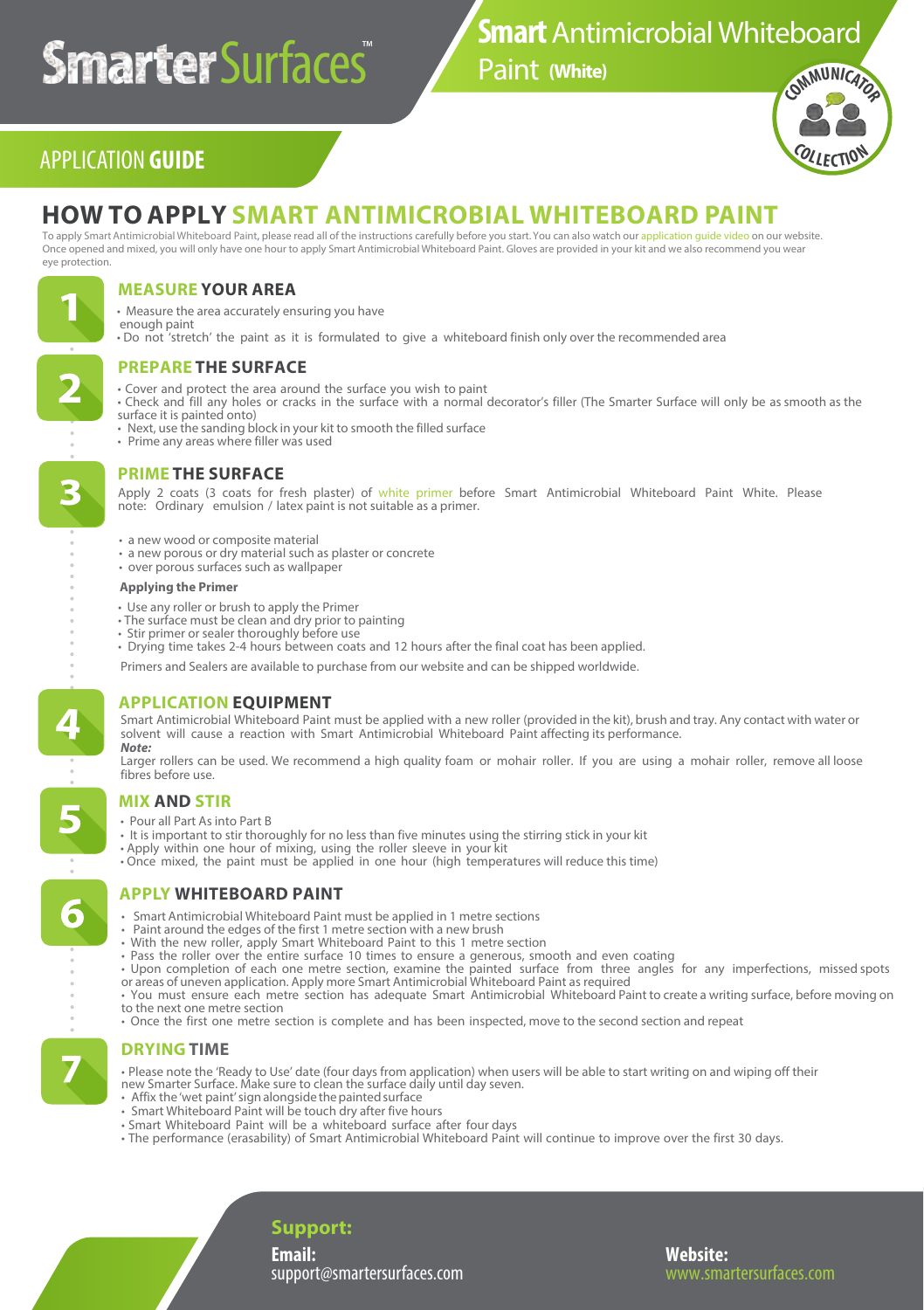# **Smarter** Surfaces®

# **Smart** Antimicrobial Whiteboard

**[\(White](https://smartersurfaces.com/white-whiteboard-paint.html?utm_source=Smarter-Surfaces-Application-Guide&utm_medium=referral&utm_campaign=Whiteboard-Paint-Guide)[\)](https://smartersurfaces.com/clear-whiteboard-paint.html?utm_source=Smarter-Surfaces-Application-Guide&utm_medium=referral&utm_campaign=Whiteboard-Paint-Guide)**



# APPLICATION **GUIDE**

# **HOW TO APPLY SMART [ANTIMICROBIAL](https://smartersurfaces.com/white-whiteboard-paint.html?utm_source=Smarter-Surfaces-Application-Guide&utm_medium=referral&utm_campaign=Whiteboard-Paint-Guide) WHITEBOARD PAINT**

To apply Smart Antimicrobial Whiteboard Paint, please read all of the instructions carefully before you start. You can also watch our application quide video on our website. Once opened and mixed, you will only have one hour to apply Smart Antimicrobial Whiteboard Paint. Gloves are provided in your kit and we also recommend you wear eye protection.



## **MEASURE YOUR AREA**

- Measure the area accurately ensuring you have enough paint
- Do not 'stretch' the paint as it is formulated to give a whiteboard finish only over the recommended area

# **PREPARE THE SURFACE**

- Cover and protect the area around the surface you wish to paint
- Check and fill any holes or cracks in the surface with a normal decorator's filler (The Smarter Surface will only be as smooth as the
- surface it is painted onto)
- Next, use the sanding block in your kit to smooth the filled surface
- Prime any areas where filler was used

## **PRIME THE SURFACE**

Apply 2 coats (3 coats for fresh plaster) of [white primer](https://smartersurfaces.com/white-primer.html?utm_source=Smarter-Surfaces-Application-Guide&utm_medium=referral&utm_campaign=Whiteboard-Paint-Guide) before Smart Antimicrobial Whiteboard Paint White. Please<br>note: Ordinary emulsion / latexpaint is not suitable as a primer.

- a new wood or composite materi[al](https://smartersurfaces.com/clear-whiteboard-paint.html?utm_source=Smarter-Surfaces-Application-Guide&utm_medium=referral&utm_campaign=Whiteboard-Paint-Guide)
- a new porous or dry material such as plaster or concrete
- over porous surfaces such as wallpaper

#### **Applying the Primer**

- Use any roller or brush to apply the Primer
- The surface must be clean and dry prior to painting
- Stir primer or sealer thoroughly before use
- Drying time takes 2-4 hours between coats and 12 hours after the final coat has been applied.

Primers and Sealers are available to purchase from our website and can be shipped worldwide.

## **APPLICATION EQUIPMENT**

Smart Antimicrobial Whiteboard Paint must be applied with a new roller (provided in the kit), brush and tray. Any contact with water or solvent will cause a reaction with Smart Antimicrobial Whiteboard Paint affecting its performance. *Note:* 

Larger rollers can be used. We recommend a high quality foam or mohair roller. If you are using a mohair roller, remove all loose fibres before use.

## **MIX AND STIR**

- Pour all Part As into Part B
- It is important to stir thoroughly for no less than five minutes using the stirring stick in your kit
- 
- Apply within one hour of mixing, using the roller sleeve in your kit Once mixed, the paint must be applied in one hour (high temperatures will reduce this time)

## **APPLY WHITEBOARD PAINT**

- Smart Antimicrobial Whiteboard Paint must be applied in 1 metre sections
- Paint around the edges of the first 1 metre section with a new brush
- With the new roller, apply Smart Whiteboard Paint to this 1 metre section
- Pass the roller over the entire surface 10 times to ensure a generous, smooth and even coating
- Upon completion of each one metre section, examine the painted surface from three angles for any imperfections, missed spots or areas of uneven application. Apply more Smart Antimicrobial Whiteboard Paint as required
- You must ensure each metre section has adequate Smart Antimicrobial Whiteboard Paint to create a writing surface, before moving on to the next one metre section
- Once the first one metre section is complete and has been inspected, move to the second section and repeat

## **DRYING TIME**

- Please note the 'Ready to Use' date (four days from application) when users will be able to start writing on and wiping off their
- new Smarter Surface. Make sure to clean the surface daily until day seven. Affix the 'wet paint' sign alongside the painted surface
- Smart Whiteboard Paint will be touch dry after five hours
- Smart Whiteboard Paint will be a whiteboard surface after four days
- The performance (erasability) of Smart Antimicrobial Whiteboard Paint will continue to improve over the first 30 days.

**Support:**

**Email:**  support@smartersurfaces.com **Website:** 

6